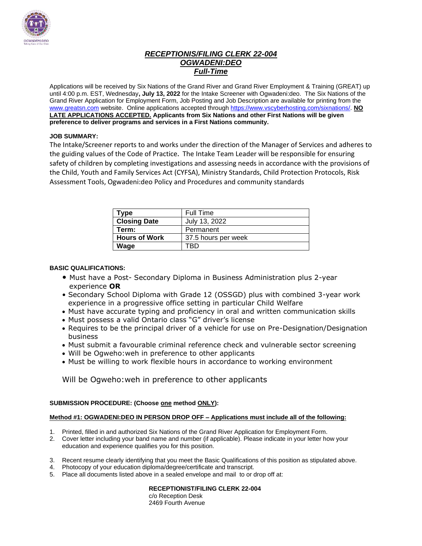

### *RECEPTIONIS/FILING CLERK 22-004 OGWADENI:DEO Full-Time*

Applications will be received by Six Nations of the Grand River and Grand River Employment & Training (GREAT) up until 4:00 p.m. EST, Wednesday**, July 13, 2022** for the Intake Screener with Ogwadeni:deo. The Six Nations of the Grand River Application for Employment Form, Job Posting and Job Description are available for printing from the [www.greatsn.com](http://www.greatsn.com/) website. Online applications accepted throug[h https://www.vscyberhosting.com/sixnations/.](https://www.vscyberhosting.com/sixnations/) **NO LATE APPLICATIONS ACCEPTED. Applicants from Six Nations and other First Nations will be given preference to deliver programs and services in a First Nations community.**

#### **JOB SUMMARY:**

The Intake/Screener reports to and works under the direction of the Manager of Services and adheres to the guiding values of the Code of Practice**.** The Intake Team Leader will be responsible for ensuring safety of children by completing investigations and assessing needs in accordance with the provisions of the Child, Youth and Family Services Act (CYFSA), Ministry Standards, Child Protection Protocols, Risk Assessment Tools, Ogwadeni:deo Policy and Procedures and community standards

| Type                 | Full Time           |
|----------------------|---------------------|
| <b>Closing Date</b>  | July 13, 2022       |
| Term:                | Permanent           |
| <b>Hours of Work</b> | 37.5 hours per week |
| Wage                 |                     |

#### **BASIC QUALIFICATIONS:**

- Must have a Post- Secondary Diploma in Business Administration plus 2-year experience **OR**
- Secondary School Diploma with Grade 12 (OSSGD) plus with combined 3-year work experience in a progressive office setting in particular Child Welfare
- Must have accurate typing and proficiency in oral and written communication skills
- Must possess a valid Ontario class "G" driver's license
- Requires to be the principal driver of a vehicle for use on Pre-Designation/Designation business
- Must submit a favourable criminal reference check and vulnerable sector screening
- Will be Ogweho:weh in preference to other applicants
- Must be willing to work flexible hours in accordance to working environment

Will be Ogweho:weh in preference to other applicants

#### **SUBMISSION PROCEDURE: (Choose one method ONLY):**

#### **Method #1: OGWADENI:DEO IN PERSON DROP OFF – Applications must include all of the following:**

- 1. Printed, filled in and authorized Six Nations of the Grand River Application for Employment Form.
- 2. Cover letter including your band name and number (if applicable). Please indicate in your letter how your education and experience qualifies you for this position.
- 3. Recent resume clearly identifying that you meet the Basic Qualifications of this position as stipulated above.
- 4. Photocopy of your education diploma/degree/certificate and transcript.
- 5. Place all documents listed above in a sealed envelope and mail to or drop off at:

**RECEPTIONIST/FILING CLERK 22-004** c/o Reception Desk

2469 Fourth Avenue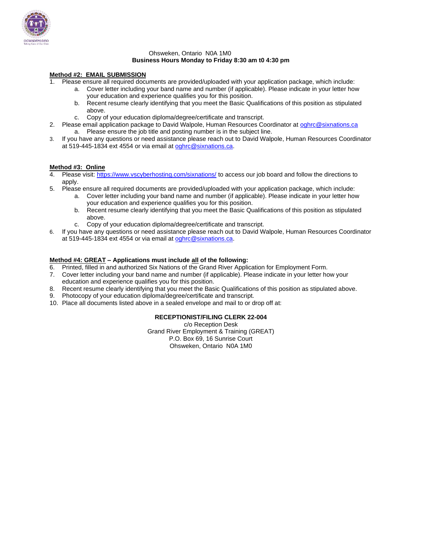

#### Ohsweken, Ontario N0A 1M0 **Business Hours Monday to Friday 8:30 am t0 4:30 pm**

#### **Method #2: EMAIL SUBMISSION**

- 1. Please ensure all required documents are provided/uploaded with your application package, which include:
	- a. Cover letter including your band name and number (if applicable). Please indicate in your letter how your education and experience qualifies you for this position.
	- b. Recent resume clearly identifying that you meet the Basic Qualifications of this position as stipulated above.
	- c. Copy of your education diploma/degree/certificate and transcript.
- 2. Please email application package to David Walpole, Human Resources Coordinator at [oghrc@sixnations.ca](mailto:oghrc@sixnations.ca) a. Please ensure the job title and posting number is in the subject line.
- 3. If you have any questions or need assistance please reach out to David Walpole, Human Resources Coordinator at 519-445-1834 ext 4554 or via email at [oghrc@sixnations.ca.](mailto:oghrc@sixnations.ca)

#### **Method #3: Online**

- Please visit[: https://www.vscyberhosting.com/sixnations/](https://www.vscyberhosting.com/sixnations/) to access our job board and follow the directions to apply.
- 5. Please ensure all required documents are provided/uploaded with your application package, which include:
	- a. Cover letter including your band name and number (if applicable). Please indicate in your letter how your education and experience qualifies you for this position.
		- b. Recent resume clearly identifying that you meet the Basic Qualifications of this position as stipulated above.
		- c. Copy of your education diploma/degree/certificate and transcript.
- 6. If you have any questions or need assistance please reach out to David Walpole, Human Resources Coordinator at 519-445-1834 ext 4554 or via email at [oghrc@sixnations.ca.](mailto:oghrc@sixnations.ca)

#### **Method #4: GREAT – Applications must include all of the following:**

- 6. Printed, filled in and authorized Six Nations of the Grand River Application for Employment Form.
- 7. Cover letter including your band name and number (if applicable). Please indicate in your letter how your education and experience qualifies you for this position.
- 8. Recent resume clearly identifying that you meet the Basic Qualifications of this position as stipulated above.
- 9. Photocopy of your education diploma/degree/certificate and transcript.
- 10. Place all documents listed above in a sealed envelope and mail to or drop off at:

#### **RECEPTIONIST/FILING CLERK 22-004**

c/o Reception Desk Grand River Employment & Training (GREAT) P.O. Box 69, 16 Sunrise Court Ohsweken, Ontario N0A 1M0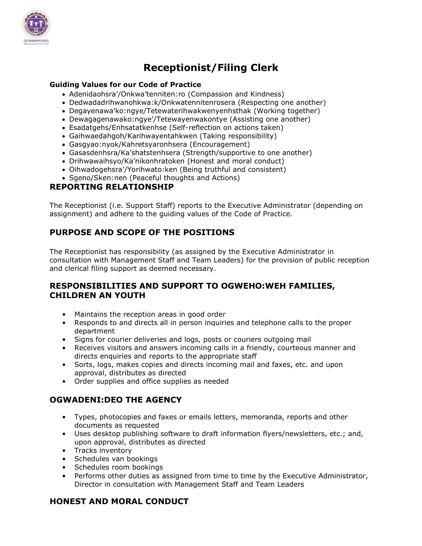

# **Receptionist/Filing Clerk**

#### **Guiding Values for our Code of Practice**

- Adenidaohsra'/Onkwa'tenniten:ro (Compassion and Kindness)
- Dedwadadrihwanohkwa:k/Onkwatennitenrosera (Respecting one another)
- Degayenawa'ko:ngye/Tetewaterihwakwenyenhsthak (Working together)
- Dewagagenawako:ngye'/Tetewayenwakontye (Assisting one another)
- Esadatgehs/Enhsatatkenhse (Self-reflection on actions taken)
- Gaihwaedahgoh/Karihwayentahkwen (Taking responsibility)
- Gasgyao:nyok/Kahretsyaronhsera (Encouragement)
- Gasasdenhsra/Ka'shatstenhsera (Strength/supportive to one another)
- Drihwawaihsyo/Ka'nikonhratoken (Honest and moral conduct)
- Oihwadogehsra'/Yorihwato:ken (Being truthful and consistent)
- Sgeno/Sken:nen (Peaceful thoughts and Actions)

### **REPORTING RELATIONSHIP**

The Receptionist (i.e. Support Staff) reports to the Executive Administrator (depending on assignment) and adhere to the guiding values of the Code of Practice.

# **PURPOSE AND SCOPE OF THE POSITIONS**

The Receptionist has responsibility (as assigned by the Executive Administrator in consultation with Management Staff and Team Leaders) for the provision of public reception and clerical filing support as deemed necessary.

# **RESPONSIBILITIES AND SUPPORT TO OGWEHO:WEH FAMILIES, CHILDREN AN YOUTH**

- Maintains the reception areas in good order
- Responds to and directs all in person inquiries and telephone calls to the proper department
- Signs for courier deliveries and logs, posts or couriers outgoing mail
- Receives visitors and answers incoming calls in a friendly, courteous manner and directs enquiries and reports to the appropriate staff
- Sorts, logs, makes copies and directs incoming mail and faxes, etc. and upon approval, distributes as directed
- Order supplies and office supplies as needed

### **OGWADENI:DEO THE AGENCY**

- Types, photocopies and faxes or emails letters, memoranda, reports and other documents as requested
- Uses desktop publishing software to draft information flyers/newsletters, etc.; and, upon approval, distributes as directed
- Tracks inventory
- Schedules van bookings
- Schedules room bookings
- Performs other duties as assigned from time to time by the Executive Administrator, Director in consultation with Management Staff and Team Leaders

### **HONEST AND MORAL CONDUCT**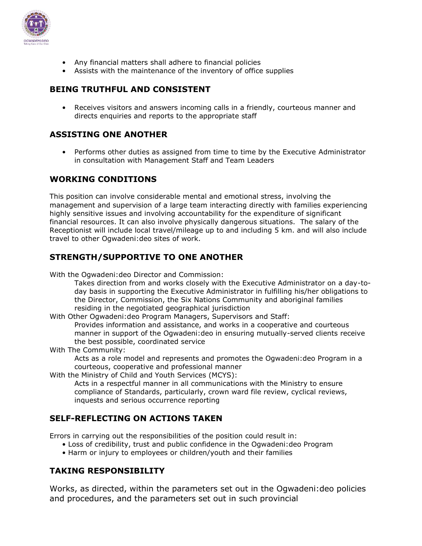

- Any financial matters shall adhere to financial policies
- Assists with the maintenance of the inventory of office supplies

# **BEING TRUTHFUL AND CONSISTENT**

• Receives visitors and answers incoming calls in a friendly, courteous manner and directs enquiries and reports to the appropriate staff

# **ASSISTING ONE ANOTHER**

• Performs other duties as assigned from time to time by the Executive Administrator in consultation with Management Staff and Team Leaders

# **WORKING CONDITIONS**

This position can involve considerable mental and emotional stress, involving the management and supervision of a large team interacting directly with families experiencing highly sensitive issues and involving accountability for the expenditure of significant financial resources. It can also involve physically dangerous situations. The salary of the Receptionist will include local travel/mileage up to and including 5 km. and will also include travel to other Ogwadeni:deo sites of work.

# **STRENGTH/SUPPORTIVE TO ONE ANOTHER**

With the Ogwadeni:deo Director and Commission:

Takes direction from and works closely with the Executive Administrator on a day-today basis in supporting the Executive Administrator in fulfilling his/her obligations to the Director, Commission, the Six Nations Community and aboriginal families residing in the negotiated geographical jurisdiction

With Other Ogwadeni:deo Program Managers, Supervisors and Staff:

Provides information and assistance, and works in a cooperative and courteous manner in support of the Ogwadeni:deo in ensuring mutually-served clients receive the best possible, coordinated service

With The Community:

Acts as a role model and represents and promotes the Ogwadeni:deo Program in a courteous, cooperative and professional manner

With the Ministry of Child and Youth Services (MCYS):

Acts in a respectful manner in all communications with the Ministry to ensure compliance of Standards, particularly, crown ward file review, cyclical reviews, inquests and serious occurrence reporting

# **SELF-REFLECTING ON ACTIONS TAKEN**

Errors in carrying out the responsibilities of the position could result in:

- Loss of credibility, trust and public confidence in the Ogwadeni:deo Program
- Harm or injury to employees or children/youth and their families

# **TAKING RESPONSIBILITY**

Works, as directed, within the parameters set out in the Ogwadeni:deo policies and procedures, and the parameters set out in such provincial